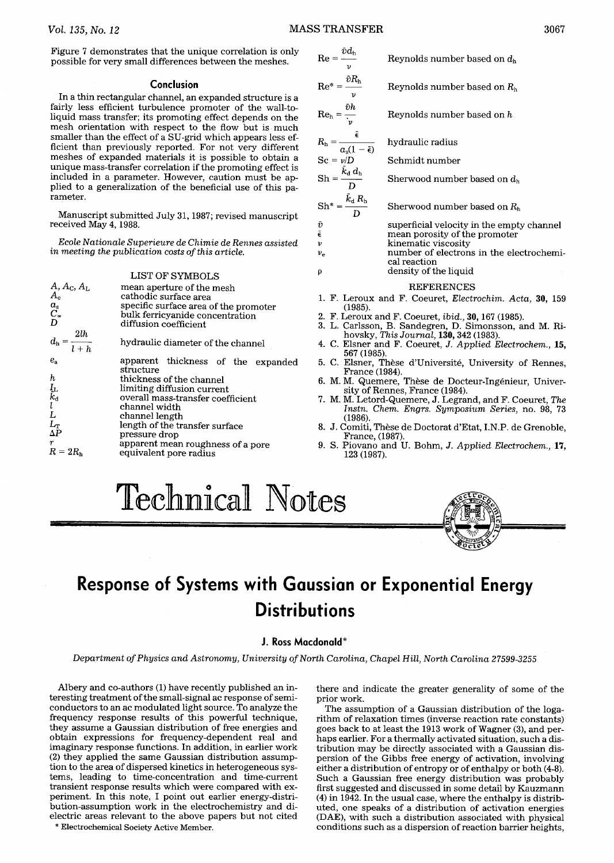$\mathbf{a}$ 

Figure 7 demonstrates that the unique correlation is only possible for very small differences between the meshes.

### **Conclusion**

In a thin rectangular channel, an expanded structure is a fairly less efficient turbulence promoter of the wall-toliquid mass transfer; its promoting effect depends on the mesh orientation with respect to the flow but is much smaller than the effect of a SU-grid which appears less efficient than previously reported. For not very different meshes of expanded materials it is possible to obtain a unique mass-transfer correlation if the promoting effect is included in a parameter. However, caution must be applied to a generalization of the beneficial use of this parameter.

Manuscript submitted July 31, 1987; revised manuscript received May 4, 1988.

*Ecole Nationale Superieure de Chimie de Rennes assisted in meeting the publication costs of this article.* 

### LIST OF SYMBOLS

| 2lh<br>$d_h = \frac{1}{l+h}$<br>hydraulic diameter of the channel<br>$e_{\scriptscriptstyle\rm B}$<br>apparent thickness of the<br>structure<br>h<br>thickness of the channel<br>$\frac{I_{\rm L}}{k_{\rm d}}$<br>limiting diffusion current<br>overall mass-transfer coefficient<br>channel width<br>channel length<br>$L_{\scriptscriptstyle\rm T}$<br>length of the transfer surface<br>$\Delta P$<br>pressure drop<br>r<br>apparent mean roughness of a pore<br>$R=2R_{\rm h}$<br>equivalent pore radius | $A, A_{\rm C}, A_{\rm L}$<br>$A_{\circ}$<br>$a_{s}$<br>$C_{\infty}$<br>D | mean aperture of the mesh<br>cathodic surface area<br>specific surface area of the promoter<br>bulk ferricyanide concentration<br>diffusion coefficient |
|--------------------------------------------------------------------------------------------------------------------------------------------------------------------------------------------------------------------------------------------------------------------------------------------------------------------------------------------------------------------------------------------------------------------------------------------------------------------------------------------------------------|--------------------------------------------------------------------------|---------------------------------------------------------------------------------------------------------------------------------------------------------|
|                                                                                                                                                                                                                                                                                                                                                                                                                                                                                                              |                                                                          |                                                                                                                                                         |
|                                                                                                                                                                                                                                                                                                                                                                                                                                                                                                              |                                                                          | expanded                                                                                                                                                |
|                                                                                                                                                                                                                                                                                                                                                                                                                                                                                                              |                                                                          |                                                                                                                                                         |

$$
Re = \frac{\partial u_h}{\partial v}
$$
  
\n
$$
Re_h = \frac{\partial R_h}{\partial v}
$$
  
\n
$$
Re_h = \frac{\partial h}{\partial v}
$$
  
\n
$$
Re_h = \frac{\partial h}{\partial v}
$$
  
\n
$$
Re_h = \frac{\partial u}{\partial u} = \frac{\partial u}{\partial u} = 0
$$
  
\n
$$
Re_h = \frac{\partial u}{\partial u} = \frac{\partial u}{\partial u} = 0
$$
  
\n
$$
Re_h = \frac{\partial u}{\partial u} = \frac{\partial u}{\partial v}
$$
  
\n
$$
Im = \frac{\partial u}{\partial v}
$$
  
\n
$$
Im = \frac{\partial u}{\partial v}
$$
  
\n
$$
Im = \frac{\partial u}{\partial v}
$$
  
\n
$$
Im = \frac{\partial u}{\partial v}
$$
  
\n
$$
Im = \frac{\partial u}{\partial v}
$$
  
\n
$$
Im = \frac{\partial u}{\partial v}
$$
  
\n
$$
Im = \frac{\partial u}{\partial v}
$$
  
\n
$$
Im = \frac{\partial u}{\partial v}
$$
  
\n
$$
Im = \frac{\partial u}{\partial v}
$$
  
\n
$$
Im = \frac{\partial u}{\partial v}
$$
  
\n
$$
Im = \frac{\partial u}{\partial v}
$$
  
\n
$$
Im = \frac{\partial u}{\partial v}
$$
  
\n
$$
Im = \frac{\partial u}{\partial v}
$$
  
\n
$$
Im = \frac{\partial u}{\partial v}
$$
  
\n
$$
Im = \frac{\partial u}{\partial v}
$$
  
\n
$$
Im = \frac{\partial u}{\partial v}
$$
  
\n
$$
Im = \frac{\partial u}{\partial v}
$$
  
\n
$$
Im = \frac{\partial u}{\partial v}
$$
  
\n
$$
Im = \frac{\partial u}{\partial v}
$$
  
\n
$$
Im = \frac{\partial u}{\partial v}
$$
  
\n
$$
Im = \frac{\partial u}{\partial v}
$$
  
\n
$$
Im = \frac{\partial u}{\partial v}
$$
  
\n
$$
Im = \frac{\partial u}{\partial v}
$$
  
\n
$$
Im = \frac{\partial u}{\partial v}
$$
  
\n $$ 

- 3. L. Carlsson, B. Sandegren, D. Simonsson, and M. Rihovsky, *This Journal,* 130, 342 (1983).
- 4. C. Elsner and F. Coeuret, *J. Applied Electrochem.,* 15, 567 (1985).
- 5. C. Elsner, Thèse d'Université, University of Rennes, France (1984).
- 6. M.M. Quemere, Thèse de Docteur-Ingénieur, University of Rennes, France (1984).
- 7. M. M. Letord-Quemere, J. Legrand, and F. Coeuret, *The Instn. Chem. Engrs. Symposium Series,* no. 98, 73 (1986).
- 8. J. Comiti, Thèse de Doctorat d'Etat, I.N.P. de Grenoble, France, (1987).
- 9. S. Piovano and U. Bohm, *J. Applied Electrochem., 17,*  123 (1987).

# Technical Notes



# **Response of Systems with Gaussian or Exponential Energy Distributions**

## **J. Ross Macdonald\***

*Department of Physics and Astronomy, University of North Carolina, Chapel Hill, North Carolina 27599-3255* 

Albery and co-authors (1) have recently published an interesting treatment of the small-signal ac response of semiconductors to an ac modulated light source. To analyze the frequency response results of this powerful technique, they assume a Gaussian distribution of free energies and obtain expressions for frequency-dependent real and imaginary response functions. In addition, in earlier work (2) they applied the same Gaussian distribution assumption to the area of dispersed kinetics in heterogeneous systems, leading to time-concentration and time-current transient response results which were compared with experiment. In this note, I point out earlier energy-distribution-assumption work in the electrochemistry and dielectric areas relevant to the above papers but not cited

\* Electrochemical Society Active Member.

there and indicate the greater generality of some of the prior work.

The assumption of a Gaussian distribution of the logarithm of relaxation times (inverse reaction rate constants) goes back to at least the 1913 work of Wagner (3), and perhaps earlier. For a thermally activated situation, such a distribution 'may be directly associated with a Gaussian dispersion of the Gibbs free energy of activation, involving either a distribution of entropy or of enthalpy or both (4-8). Such a Gaussian free energy distribution was probably first suggested and discussed in some detail by Kauzmann (4) in 1942. In the usual case, where the enthalpy is distributed, one speaks of a distribution of activation energies (DAE), with such a distribution associated with physical conditions such as a dispersion of reaction barrier heights,